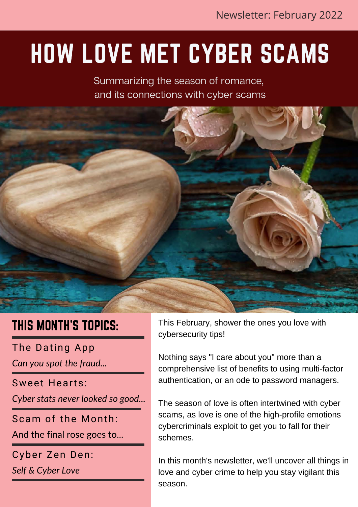## HOW LOVE MET CYBER SCAMS

Summarizing the season of romance, and its connections with cyber scams



### THIS MONTH'S TOPICS:

The Dating App

*Can you spot the fraud...*

Sweet Hearts:

*Cyber stats never looked so good...*

Scam of the Month:

And the final rose goes to...

Cyber Zen Den:

*Self & Cyber Love*

This February, shower the ones you love with cybersecurity tips!

Nothing says "I care about you" more than a comprehensive list of benefits to using multi-factor authentication, or an ode to password managers.

The season of love is often intertwined with cyber scams, as love is one of the high-profile emotions cybercriminals exploit to get you to fall for their schemes.

In this month's newsletter, we'll uncover all things in love and cyber crime to help you stay vigilant this season.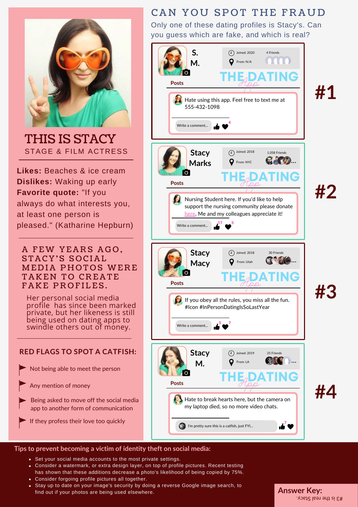

THIS IS STACY STAGE & FILM ACTRESS

**Likes:** Beaches & ice cream **Dislikes:** Waking up early **Favorite quote:** "If you always do what interests you, at least one person is pleased." (Katharine Hepburn)

#### A FEW YEARS AGO, STACY'S SOCIAL MEDIA PHOTOS WERE TAKEN TO CREATE FAKE PROFILES.

Her personal social media profile has since been marked private, but her likeness is still being used on dating apps to swindle others out of money.

### **RED FLAGS TO SPOT A CATFISH:**

Not being able to meet the person

Any mention of money

Being asked to move off the social media app to another form of communication

If they profess their love too quickly

### CAN YOU SPOT THE FRAUD

Only one of these dating profiles is Stacy's. Can you guess which are fake, and which is real?



#### **Tips to prevent becoming a victim of identity theft on social media:**

- Set your social media accounts to the most private settings.
- Consider a watermark, or extra design layer, on top of profile pictures. Recent testing has shown that these additions decrease a photo's likelihood of being copied by 75%.
- Consider forgoing profile pictures all together.
- Stay up to date on your image's security by doing a reverse Google image search, to find out if your photos are being used elsewhere.

**Answer Key:** #3 is the real Stacy.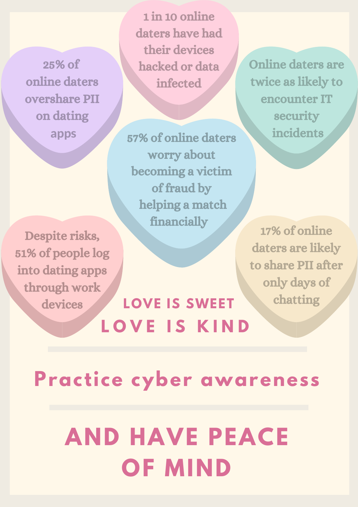25% of online daters overshare PII on dating apps

1 in 10 online daters have had their devices hacked or data infected

57% of online daters worry about becoming a victim of fraud by helping a match financially

Despite risks, 51% of people log into dating apps through work devices

### **L O V E I S K I N D LOVE IS SWEET**

Online daters are twice as likely to encounter IT security incidents

17% of online daters are likely to share PII after only days of chatting

## **Practice cyber awareness**

## **AND HAVE PEACE OF MIND**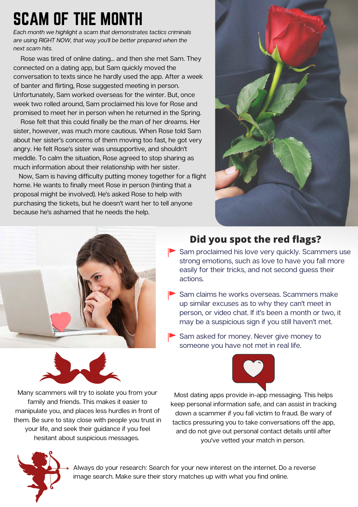### SCAM OF THE MONTH

Each month we highlight a scam that demonstrates tactics criminals are using RIGHT NOW, that way you'll be better prepared when the next scam hits.

 Rose was tired of online dating... and then she met Sam. They connected on a dating app, but Sam quickly moved the conversation to texts since he hardly used the app. After a week of banter and flirting, Rose suggested meeting in person. Unfortunately, Sam worked overseas for the winter. But, once week two rolled around, Sam proclaimed his love for Rose and promised to meet her in person when he returned in the Spring.

 Rose felt that this could finally be the man of her dreams. Her sister, however, was much more cautious. When Rose told Sam about her sister's concerns of them moving too fast, he got very angry. He felt Rose's sister was unsupportive, and shouldn't meddle. To calm the situation, Rose agreed to stop sharing as much information about their relationship with her sister.

 Now, Sam is having difficulty putting money together for a flight home. He wants to finally meet Rose in person (hinting that a proposal might be involved). He's asked Rose to help with purchasing the tickets, but he doesn't want her to tell anyone because he's ashamed that he needs the help.





### **Did you spot the red flags?**

- $\blacktriangleright$  Sam proclaimed his love very quickly. Scammers use strong emotions, such as love to have you fall more easily for their tricks, and not second guess their actions.
- Sam claims he works overseas. Scammers make up similar excuses as to why they can't meet in person, or video chat. If it's been a month or two, it may be a suspicious sign if you still haven't met.
- Sam asked for money. Never give money to someone you have not met in real life.



Many scammers will try to isolate you from your family and friends. This makes it easier to manipulate you, and places less hurdles in front of them. Be sure to stay close with people you trust in your life, and seek their guidance if you feel hesitant about suspicious messages.

Most dating apps provide in-app messaging. This helps keep personal information safe, and can assist in tracking down a scammer if you fall victim to fraud. Be wary of tactics pressuring you to take conversations off the app, and do not give out personal contact details until after you've vetted your match in person.



Always do your research: Search for your new interest on the internet. Do a reverse image search. Make sure their story matches up with what you find online.